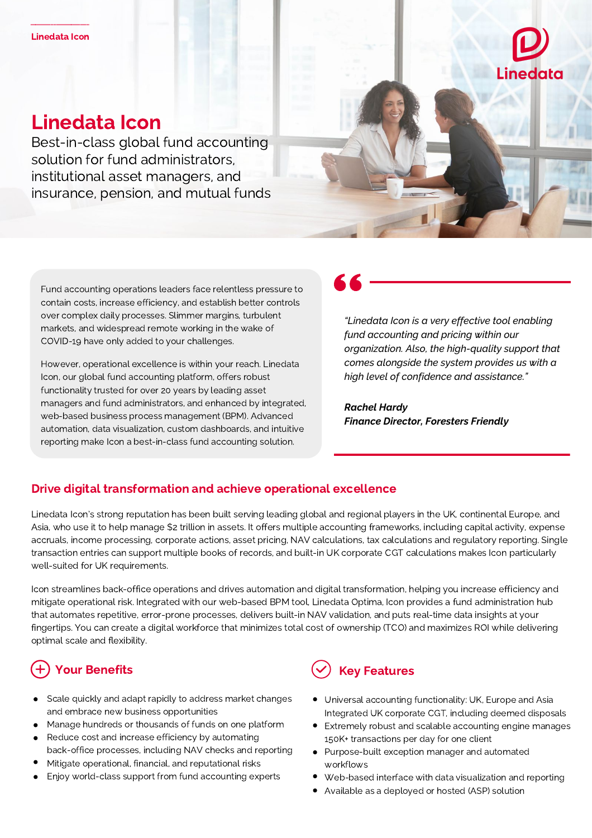

# Linedata Icon

Best-in-class global fund accounting solution for fund administrators, institutional asset managers, and insurance, pension, and mutual funds



Fund accounting operations leaders face relentless pressure to contain costs, increase efficiency, and establish better controls over complex daily processes. Slimmer margins, turbulent markets, and widespread remote working in the wake of COVID-19 have only added to your challenges.

However, operational excellence is within your reach. Linedata Icon, our global fund accounting platform, offers robust functionality trusted for over 20 years by leading asset managers and fund administrators, and enhanced by integrated, web-based business process management (BPM). Advanced automation, data visualization, custom dashboards, and intuitive reporting make Icon a best-in-class fund accounting solution.

*"Linedata Icon is a very effective tool enabling fund accounting and pricing within our organization. Also, the high-quality support that comes alongside the system provides us with a high level of confidence and assistance."*

*Rachel Hardy Finance Director, Foresters Friendly*

### Drive digital transformation and achieve operational excellence

Linedata Icon's strong reputation has been built serving leading global and regional players in the UK, continental Europe, and Asia, who use it to help manage \$2 trillion in assets. It offers multiple accounting frameworks, including capital activity, expense accruals, income processing, corporate actions, asset pricing, NAV calculations, tax calculations and regulatory reporting. Single transaction entries can support multiple books of records, and built-in UK corporate CGT calculations makes Icon particularly well-suited for UK requirements.

Icon streamlines back-office operations and drives automation and digital transformation, helping you increase efficiency and mitigate operational risk. Integrated with our web-based BPM tool, Linedata Optima, Icon provides a fund administration hub that automates repetitive, error-prone processes, delivers built-in NAV validation, and puts real-time data insights at your fingertips. You can create a digital workforce that minimizes total cost of ownership (TCO) and maximizes ROI while delivering optimal scale and flexibility.

# Your Benefits

- Scale quickly and adapt rapidly to address market changes and embrace new business opportunities
- Manage hundreds or thousands of funds on one platform
- Reduce cost and increase efficiency by automating back-office processes, including NAV checks and reporting
- Mitigate operational, financial, and reputational risks
- Enjoy world-class support from fund accounting experts



- Universal accounting functionality: UK, Europe and Asia Integrated UK corporate CGT, including deemed disposals
- $\bullet$ Extremely robust and scalable accounting engine manages 150K+ transactions per day for one client
- Purpose-built exception manager and automated workflows
- Web-based interface with data visualization and reporting
- Available as a deployed or hosted (ASP) solution